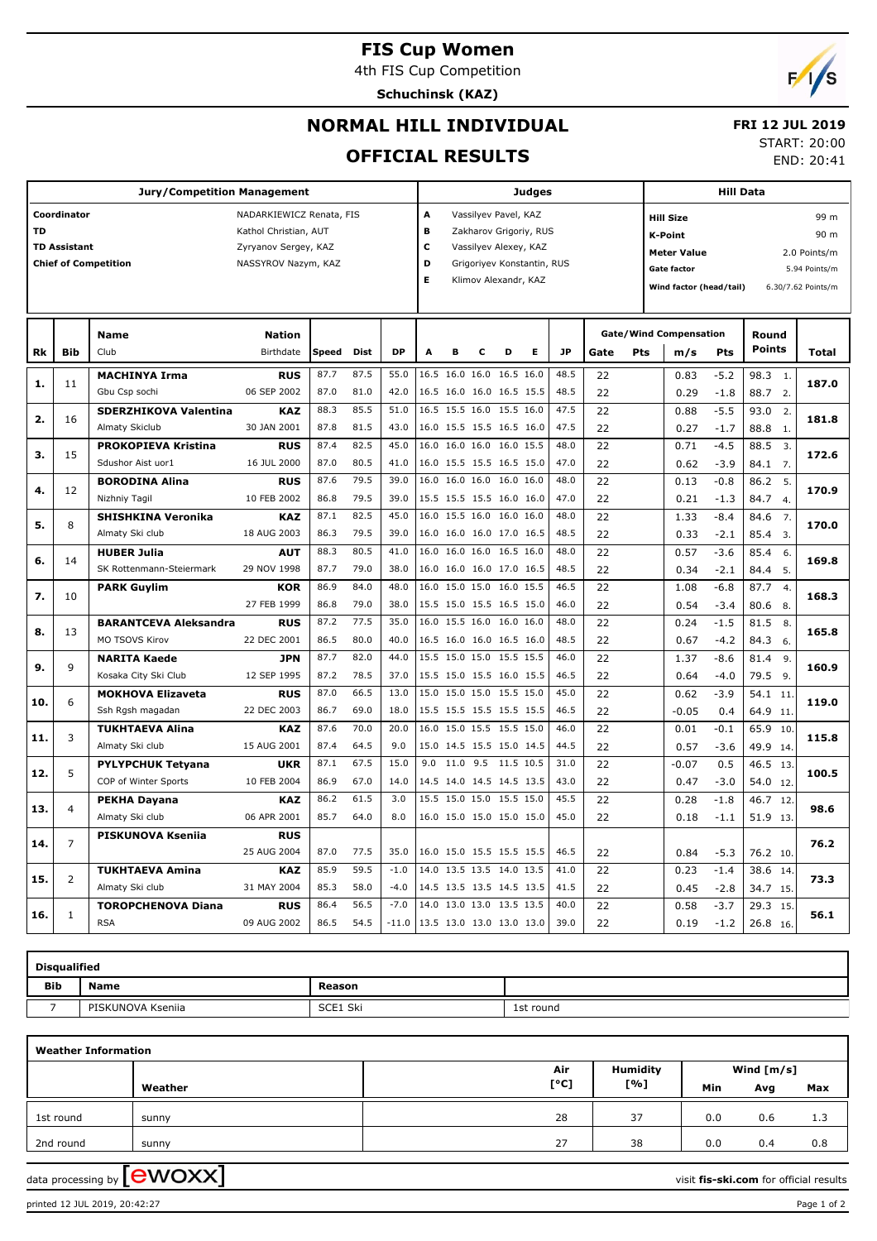### **FIS Cup Women**

4th FIS Cup Competition

**Schuchinsk (KAZ)**

# $\sqrt{2}$

END: 20:41

## **NORMAL HILL INDIVIDUAL OFFICIAL RESULTS**

#### **FRI 12 JUL 2019** START: 20:00

|                                         |                     | <b>Judges</b>                |                       |                            |      |         |                                 |                          |                           | <b>Hill Data</b>     |      |           |      |                         |                                    |        |                          |               |  |
|-----------------------------------------|---------------------|------------------------------|-----------------------|----------------------------|------|---------|---------------------------------|--------------------------|---------------------------|----------------------|------|-----------|------|-------------------------|------------------------------------|--------|--------------------------|---------------|--|
| Coordinator<br>NADARKIEWICZ Renata, FIS |                     |                              |                       |                            |      |         |                                 |                          | A<br>Vassilyev Pavel, KAZ |                      |      |           |      |                         | <b>Hill Size</b><br>99 m           |        |                          |               |  |
| <b>TD</b>                               |                     |                              | Kathol Christian, AUT |                            |      |         | B                               | Zakharov Grigoriy, RUS   |                           |                      |      |           |      |                         | <b>K-Point</b>                     |        |                          | 90 m          |  |
|                                         | <b>TD Assistant</b> |                              | Zyryanov Sergey, KAZ  |                            |      |         | C                               | Vassilyev Alexey, KAZ    |                           |                      |      |           |      |                         |                                    |        |                          |               |  |
|                                         |                     | <b>Chief of Competition</b>  | NASSYROV Nazym, KAZ   |                            |      |         | D<br>Grigoriyev Konstantin, RUS |                          |                           |                      |      |           |      |                         | 2.0 Points/m<br><b>Meter Value</b> |        |                          |               |  |
|                                         |                     |                              |                       |                            |      |         | Е                               |                          |                           | Klimov Alexandr, KAZ |      |           |      |                         | <b>Gate factor</b>                 |        |                          | 5.94 Points/m |  |
|                                         |                     |                              |                       |                            |      |         |                                 |                          |                           |                      |      |           |      | Wind factor (head/tail) |                                    |        | 6.30/7.62 Points/m       |               |  |
|                                         |                     |                              |                       |                            |      |         |                                 |                          |                           |                      |      |           |      |                         |                                    |        |                          |               |  |
|                                         |                     | <b>Name</b>                  | <b>Nation</b>         |                            |      |         |                                 |                          |                           |                      |      |           |      |                         | <b>Gate/Wind Compensation</b>      |        | Round                    |               |  |
| Rk                                      | <b>Bib</b>          | Club                         | Birthdate             | <b>DP</b><br>Speed<br>Dist |      |         | A                               | в                        | c                         | D                    | Е    | <b>JP</b> | Gate | Pts                     | m/s                                | Pts    | <b>Points</b>            | Total         |  |
|                                         |                     | <b>MACHINYA Irma</b>         | <b>RUS</b>            | 87.7                       | 87.5 | 55.0    |                                 | 16.5 16.0 16.0           |                           | 16.5 16.0            |      | 48.5      | 22   |                         | 0.83                               | $-5.2$ | 98.3<br>1.               |               |  |
| 1.                                      | 11                  | Gbu Csp sochi                | 06 SEP 2002           | 87.0                       | 81.0 | 42.0    |                                 | 16.5 16.0 16.0 16.5 15.5 |                           |                      |      | 48.5      | 22   |                         | 0.29                               | $-1.8$ | 88.7<br>2.               | 187.0         |  |
|                                         |                     | <b>SDERZHIKOVA Valentina</b> | <b>KAZ</b>            | 88.3                       | 85.5 | 51.0    |                                 | 16.5 15.5 16.0 15.5 16.0 |                           |                      |      | 47.5      | 22   |                         | 0.88                               | $-5.5$ | 93.0<br>2.               | 181.8         |  |
| 2.                                      | 16                  | <b>Almaty Skiclub</b>        | 30 JAN 2001           | 87.8                       | 81.5 | 43.0    |                                 | 16.0 15.5 15.5 16.5 16.0 |                           |                      |      | 47.5      | 22   |                         | 0.27                               | $-1.7$ | 88.8<br>1.               |               |  |
|                                         |                     | <b>PROKOPIEVA Kristina</b>   | <b>RUS</b>            | 87.4                       | 82.5 | 45.0    | 16.0                            | 16.0 16.0                |                           | 16.0 15.5            |      | 48.0      | 22   |                         | 0.71                               | $-4.5$ | 88.5<br>3.               |               |  |
| 3.                                      | 15                  | Sdushor Aist uor1            | 16 JUL 2000           | 87.0                       | 80.5 | 41.0    |                                 | 16.0 15.5 15.5 16.5 15.0 |                           |                      |      | 47.0      | 22   |                         | 0.62                               | $-3.9$ | 84.1<br>$\overline{7}$ . | 172.6         |  |
|                                         |                     | <b>BORODINA Alina</b>        | <b>RUS</b>            | 87.6                       | 79.5 | 39.0    |                                 | 16.0 16.0 16.0 16.0 16.0 |                           |                      |      | 48.0      | 22   |                         | 0.13                               | $-0.8$ | 86.2<br>5.               |               |  |
| 4.                                      | 12                  | Nizhniy Tagil                | 10 FEB 2002           | 86.8                       | 79.5 | 39.0    |                                 | 15.5 15.5 15.5 16.0 16.0 |                           |                      |      | 47.0      | 22   |                         | 0.21                               | $-1.3$ | 84.7<br>4.               | 170.9         |  |
| 5.                                      | 8                   | <b>SHISHKINA Veronika</b>    | <b>KAZ</b>            | 87.1                       | 82.5 | 45.0    | 16.0                            | 15.5 16.0                |                           | 16.0 16.0            |      | 48.0      | 22   |                         | 1.33                               | $-8.4$ | 84.6<br>7.               |               |  |
|                                         |                     | Almaty Ski club              | 18 AUG 2003           | 86.3                       | 79.5 | 39.0    |                                 | 16.0 16.0 16.0 17.0 16.5 |                           |                      |      | 48.5      | 22   |                         | 0.33                               | $-2.1$ | 85.4<br>3.               | 170.0         |  |
|                                         | 14                  | <b>HUBER Julia</b>           | <b>AUT</b>            | 88.3                       | 80.5 | 41.0    | 16.0                            | 16.0 16.0 16.5 16.0      |                           |                      |      | 48.0      | 22   |                         | 0.57                               | $-3.6$ | 85.4<br>6.               |               |  |
| 6.                                      |                     | SK Rottenmann-Steiermark     | 29 NOV 1998           | 87.7                       | 79.0 | 38.0    |                                 | 16.0 16.0 16.0 17.0 16.5 |                           |                      |      | 48.5      | 22   |                         | 0.34                               | $-2.1$ | 84.4<br>-5.              | 169.8         |  |
|                                         |                     | <b>PARK Guylim</b>           | <b>KOR</b>            | 86.9                       | 84.0 | 48.0    | 16.0                            | 15.0 15.0                |                           | 16.0                 | 15.5 | 46.5      | 22   |                         | 1.08                               | $-6.8$ | 87.7<br>$\overline{4}$ . |               |  |
| 7.                                      | 10                  |                              | 27 FEB 1999           | 86.8                       | 79.0 | 38.0    |                                 | 15.5 15.0 15.5 16.5 15.0 |                           |                      |      | 46.0      | 22   |                         | 0.54                               | $-3.4$ | 80.6<br>-8.              | 168.3         |  |
|                                         | 13                  | <b>BARANTCEVA Aleksandra</b> | <b>RUS</b>            | 87.2                       | 77.5 | 35.0    |                                 | 16.0 15.5 16.0 16.0 16.0 |                           |                      |      | 48.0      | 22   |                         | 0.24                               | $-1.5$ | 81.5<br>8.               | 165.8         |  |
| 8.                                      |                     | MO TSOVS Kirov               | 22 DEC 2001           | 86.5                       | 80.0 | 40.0    |                                 | 16.5 16.0 16.0 16.5 16.0 |                           |                      |      | 48.5      | 22   |                         | 0.67                               | $-4.2$ | 84.3<br>- 6.             |               |  |
|                                         |                     | <b>NARITA Kaede</b>          | <b>JPN</b>            | 87.7                       | 82.0 | 44.0    |                                 | 15.5 15.0 15.0           |                           | 15.5 15.5            |      | 46.0      | 22   |                         | 1.37                               | $-8.6$ | 81.4<br>9.               |               |  |
| 9.                                      | 9                   | Kosaka City Ski Club         | 12 SEP 1995           | 87.2                       | 78.5 | 37.0    |                                 | 15.5 15.0 15.5 16.0 15.5 |                           |                      |      | 46.5      | 22   |                         | 0.64                               | $-4.0$ | 79.5 9.                  | 160.9         |  |
|                                         |                     | <b>MOKHOVA Elizaveta</b>     | <b>RUS</b>            | 87.0                       | 66.5 | 13.0    |                                 | 15.0 15.0 15.0 15.5 15.0 |                           |                      |      | 45.0      | 22   |                         | 0.62                               | $-3.9$ | 54.1<br>11               |               |  |
| 10.                                     | 6                   | Ssh Rgsh magadan             | 22 DEC 2003           | 86.7                       | 69.0 | 18.0    |                                 | 15.5 15.5 15.5 15.5 15.5 |                           |                      |      | 46.5      | 22   |                         | $-0.05$                            | 0.4    | 64.9 11.                 | 119.0         |  |
|                                         |                     | <b>TUKHTAEVA Alina</b>       | <b>KAZ</b>            | 87.6                       | 70.0 | 20.0    | 16.0                            | 15.0 15.5 15.5 15.0      |                           |                      |      | 46.0      | 22   |                         | 0.01                               | $-0.1$ | 65.9<br>10               | 115.8         |  |
| 11.                                     | 3                   | Almaty Ski club              | 15 AUG 2001           | 87.4                       | 64.5 | 9.0     |                                 | 15.0 14.5 15.5 15.0 14.5 |                           |                      |      | 44.5      | 22   |                         | 0.57                               | $-3.6$ | 49.9<br>14               |               |  |
| 12.                                     | 5                   | <b>PYLYPCHUK Tetyana</b>     | <b>UKR</b>            | 87.1                       | 67.5 | 15.0    | 9.0                             | 11.0 9.5 11.5 10.5       |                           |                      |      | 31.0      | 22   |                         | $-0.07$                            | 0.5    | 46.5<br>13               | 100.5         |  |
|                                         |                     | COP of Winter Sports         | 10 FEB 2004           | 86.9                       | 67.0 | 14.0    |                                 | 14.5 14.0 14.5 14.5 13.5 |                           |                      |      | 43.0      | 22   |                         | 0.47                               | $-3.0$ | 54.0<br>12.              |               |  |
| 13.                                     | $\overline{4}$      | PEKHA Dayana                 | <b>KAZ</b>            | 86.2                       | 61.5 | 3.0     |                                 | 15.5 15.0 15.0 15.5 15.0 |                           |                      |      | 45.5      | 22   |                         | 0.28                               | $-1.8$ | 46.7 12.                 | 98.6          |  |
|                                         |                     | Almaty Ski club              | 06 APR 2001           | 85.7                       | 64.0 | 8.0     |                                 | 16.0 15.0 15.0 15.0 15.0 |                           |                      |      | 45.0      | 22   |                         | 0.18                               | $-1.1$ | 51.9 13.                 |               |  |
| 14.                                     | $\overline{7}$      | <b>PISKUNOVA Ksenija</b>     | <b>RUS</b>            |                            |      |         |                                 |                          |                           |                      |      |           |      |                         |                                    |        |                          | 76.2          |  |
|                                         |                     |                              | 25 AUG 2004           | 87.0                       | 77.5 | 35.0    |                                 | 16.0 15.0 15.5 15.5 15.5 |                           |                      |      | 46.5      | 22   |                         | 0.84                               | $-5.3$ | 76.2 10.                 |               |  |
| 15.                                     | 2                   | <b>TUKHTAEVA Amina</b>       | <b>KAZ</b>            | 85.9                       | 59.5 | $-1.0$  |                                 | 14.0 13.5 13.5 14.0 13.5 |                           |                      |      | 41.0      | 22   |                         | 0.23                               | $-1.4$ | 38.6<br>14.              | 73.3          |  |
|                                         |                     | Almaty Ski club              | 31 MAY 2004           | 85.3                       | 58.0 | $-4.0$  |                                 | 14.5 13.5 13.5 14.5 13.5 |                           |                      |      | 41.5      | 22   |                         | 0.45                               | $-2.8$ | 34.7 15.                 |               |  |
|                                         |                     | <b>TOROPCHENOVA Diana</b>    | <b>RUS</b>            | 86.4                       | 56.5 | $-7.0$  |                                 | 14.0 13.0 13.0 13.5 13.5 |                           |                      |      | 40.0      | 22   |                         | 0.58                               | $-3.7$ | 29.3<br>15.              |               |  |
| 16.                                     | 1                   | <b>RSA</b>                   | 09 AUG 2002           | 86.5                       | 54.5 | $-11.0$ |                                 | 13.5 13.0 13.0 13.0 13.0 |                           |                      |      | 39.0      | 22   |                         | 0.19                               | $-1.2$ | 26.8<br>16.              | 56.1          |  |

| <b>Disqualified</b> |                   |          |           |  |  |  |  |  |  |  |  |
|---------------------|-------------------|----------|-----------|--|--|--|--|--|--|--|--|
| <b>Bib</b>          | <b>Name</b>       | Reason   |           |  |  |  |  |  |  |  |  |
|                     | PISKUNOVA Ksenija | SCE1 Ski | 1st round |  |  |  |  |  |  |  |  |

| <b>Weather Information</b> |         |      |                 |            |     |     |  |  |  |  |  |
|----------------------------|---------|------|-----------------|------------|-----|-----|--|--|--|--|--|
|                            |         | Air  | <b>Humidity</b> | Wind [m/s] |     |     |  |  |  |  |  |
|                            | Weather | [°C] | [%]             | Min        | Avg | Max |  |  |  |  |  |
| 1st round                  | sunny   | 28   | 37              | 0.0        | 0.6 | 1.3 |  |  |  |  |  |
| 2nd round                  | sunny   | 27   | 38              | 0.0        | 0.4 | 0.8 |  |  |  |  |  |
|                            |         |      |                 |            |     |     |  |  |  |  |  |

data processing by **CWOXX** and  $\overline{C}$  and  $\overline{C}$  and  $\overline{C}$  and  $\overline{C}$  and  $\overline{C}$  and  $\overline{C}$  and  $\overline{C}$  and  $\overline{C}$  and  $\overline{C}$  and  $\overline{C}$  and  $\overline{C}$  and  $\overline{C}$  and  $\overline{C}$  and  $\overline{C}$  and  $\overline{C}$ 

printed 12 JUL 2019, 20:42:27 Page 1 of 2